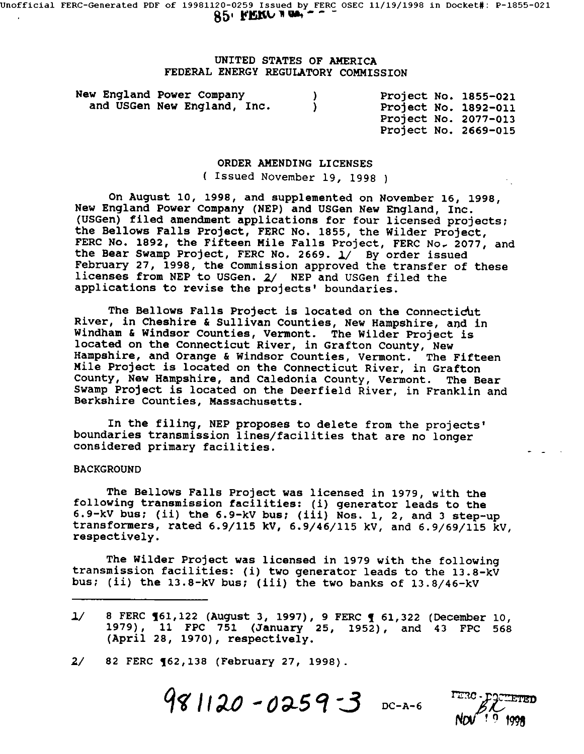# UNITED STATES OF AMERICA FEDERAL ENERGY REGULATORY COMMISSION

New England Power Company ) and USGen New England, Inc. Project No. 1855-021 Project No. 1892-011 Project No. 2077-013 Project No. 2669-015

#### ORDER AMENDING LICENSES

( Issued November 19, 1998 )

On August I0, 1998, and supplemented on November 16, 1998, New England Power Company (NEP) and USGen New England, Inc. (USGen) filed amendment applications for four licensed projects; the Bellows Falls Project, FERC No. 1855, the Wilder Project, FERC No. 1892, the Fifteen Mile Falls Project, FERC No. 2077, and the Bear Swamp Project, FERC No. 2669.  $1/$  By order issued February 27, 1998, the Commission approved the transfer of these licenses from NEP to USGen. 2/ NEP and USGen filed the applications to revise the projects' boundaries.

The Bellows Falls Project is located on the Connecticut River, in Cheshire & Sullivan Counties, New Hampshire, and in Windham & Windsor Counties, Vermont. The Wilder Project is located on the Connecticut River, in Grafton County, New Hampshire, and Orange & Windsor Counties, Vermont. The Fifteen Mile Project is located on the Connecticut River, in Grafton County, New Hampshire, and Caledonia County, Vermont. The Bear Swamp Project is located on the Deerfield River, in Franklin and Berkshire Counties, Massachusetts.

In the filing, NEP proposes to delete from the projects' boundaries transmission lines/facilities that are no longer considered primary facilities.

# BACKGROUND

The Bellows Falls Project was licensed in 1979, with the following transmission facilities: (i) generator leads to the 6.9-kV bus; (ii) the 6.9-kV bus; (iii) Nos. i, 2, and 3 step-up transformers, rated 6.9/115 kV, 6.9/46/115 kV, and 6.9/69/115 kV, respectively.

The Wilder Project was licensed in 1979 with the following transmission facilities: (i) two generator leads to the 13.8-kV bus; (ii) the 13.8-kV bus; (iii) the two banks of 13.8/46-kV

i/ 8 FERC 761,122 (August 3, 1997), 9 FERC 7 61,322 (December i0, 1979), ii FPC 751 (January 25, 1952), and 43 FPC 568 (April 28, 1970), respectively.

2/ 82 FERC 762,138 (February 27, 1998).

 $981120 - 0259 - 3$  DC-A-6

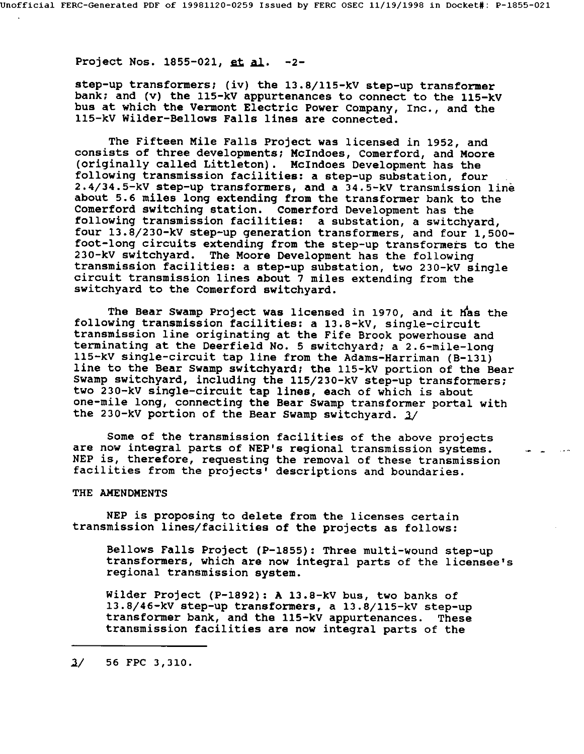Project Nos. 1855-021, et al. -2-

step-up transformers; (iv) the 13.8/i15-kV step-up transformer bank; and (v) the 115-kV appurtenances to connect to the 115-kV bus at which the Vermont Electric Power Company, Inc., and the llS-kV Wilder-Bellows Falls lines are connected.

The Fifteen Mile Falls Project was licensed in 1952, and consists of three developments; McIndoes, Comerford, and Moore (originally called Littleton). McIndoes Development has the following transmission facilities: a step-up substation, four 2.4/34.5-kV step-up transformers, and a 34.5-kV transmission line about 5.6 miles long extending from the transformer bank to the Comerford switching station. Comerford Development has the following transmission facilities: a substation, a switchyard, four 13.8/230-kV step-up generation transformers, and four 1,500 foot-long circuits extending from the step-up transformers to the 230-kV switchyard. The Moore Development has the following transmission facilities: a step-up substation, two 230-kV single circuit transmission lines about 7 miles extending from the switchyard to the Comerford switchyard.

The Bear Swamp Project was licensed in 1970, and it Has the following transmission facilities: a 13.8-kV, single-circult transmission line originating at the Fife Brook powerhouse and terminating at the Deerfield No. 5 switchyard; a 2.6-mile-long ll5-kV single-circuit tap line from the Adams-Harriman (B-131) line to the Bear Swamp switchyard; the ll5-kV portion of the Bear Swamp switchyard, including the i15/230-kV step-up transformers; two 230-kV single-circuit tap lines, each of which is about one-mile long, connecting the Bear Swamp transformer portal with the 230-kV portion of the Bear Swamp switchyard.  $3/$ 

Some of the transmission facilities of the above projects are now integral parts of NEP's regional transmission systems. NEP is, therefore, requesting the removal of these transmission facilities from the projects' descriptions and boundaries.

# THE AMENDMENTS

NEP is proposing to delete from the licenses certain transmission lines/facilities of the projects as follows:

Bellows Falls Project (P-1855): Three multi-wound step-up transformers, which are now integral parts of the licensee's regional transmission system.

Wilder Project (P-1892): A 13.8-kV bus, two banks of 13.8/46-kV step-up transformers, a 13.8/i15-kV step-up transformer bank, and the llS-kV appurtenances. These transmission facilities are now integral parts of the

 $3/$  56 FPC 3,310.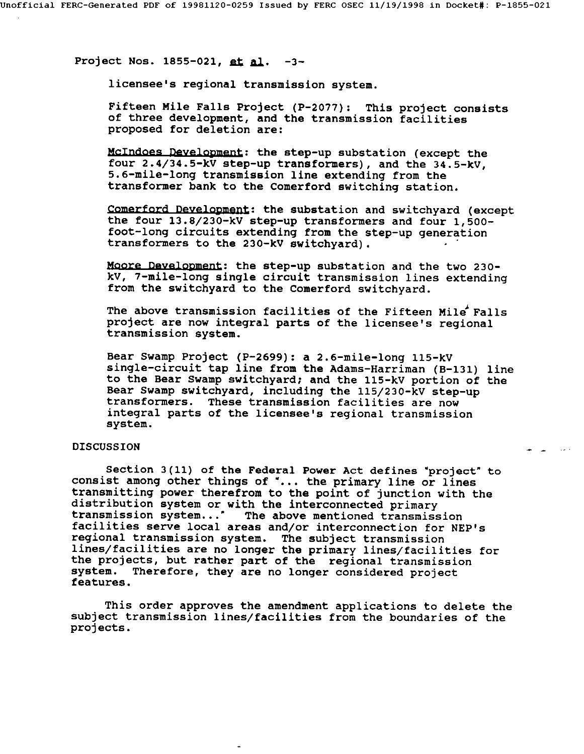Project Nos. 1855-021, et al. -3-

licensee's regional transmission system.

Fifteen Mile Falls Project (P-2077): This project consists of three development, and the transmission facilities proposed for deletion are:

McIndoes *Develonment:* the step-up substation (except the four 2.4/34.5-kV step-up transformers), and the 34.5-kV, 5.6-mile-long transmission line extending from the transformer bank to the Comerford switching station.

Comerford Development: the substation and switchyard (except the four 13.8/230-kV step-up transformers and four 1,500 foot-long circuits extending from the step-up generation transformers to the 230-kV switchyard).

Moore Develonment: the step-up substation and the two 230 kV, 7-mile-long single circuit transmission lines extending from the switchyard to the Comerford switchyard.

The above transmission facilities of the Fifteen Mile Falls project are now integral parts of the licensee's regional transmission system.

Bear Swamp Project (P-2699): a 2.6-mile-long llS-kV single-circuit tap line from the Adams-Harriman (B-131) line to the Bear Swamp switchyard; and the llS-kV portion of the Bear Swamp switchyard, including the i15/230-kV step-up transformers. These transmission facilities are now integral parts of the licensee's regional transmission system.

 $\sim 100\,$  km s  $^{-1}$ 

# DISCUSSION

Section 3(11) of the Federal Power Act defines "project" to consist among other things of "... the primary line or lines transmitting power therefrom to the point of junction with the distribution system or with the interconnected primary transmission system... The above mentioned transmission facilities serve local areas and/or interconnection for NEP's regional transmission system. The subject transmission lines/facilities are no longer the primary lines/facilities for the projects, but rather part of the regional transmission system. Therefore, they are no longer considered project features.

This order approves the amendment applications to delete the subject transmission lines/facilities from the boundaries of the projects.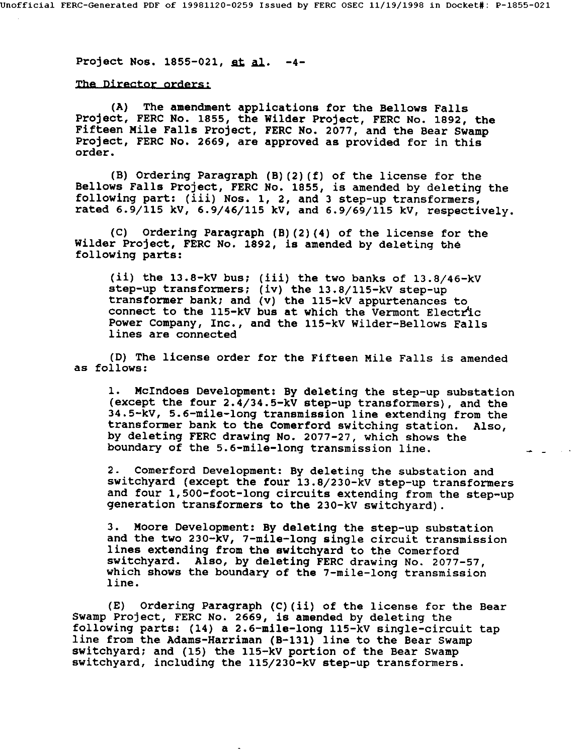Project Nos. 1855-021, et al. -4-

# The Director orders:

(A) The amendment applications for the Bellows Falls Project, FERC No. 1855, the Wilder Project, FERC No. 1892, the Fifteen Mile Falls Project, FERC No. 2077, and the Bear Swamp Project, FERC No. 2669, are approved as provided for in this order.

(B) Ordering Paragraph (B) (2) (f) of the license for the Bellows Falls Project, FERC No. 1855, is amended by deleting the following part: (iii) Nos. i, 2, and 3 step-up transformers, rated 6.9/115 kV, 6.9/46/115 kV, and 6.9/69/115 kV, respectively.

(C) Ordering Paragraph (B)(2)(4) of the license for the Wilder Project, FERC No. 1892, is amended by deleting the following parts:

(ii) the  $13.8-kV$  bus; (iii) the two banks of  $13.8/46-kV$ step-up transformers; (iv) the 13.8/I15-kV step-up transformer bank; and (v) the ll5-kV appurtenances to connect to the  $115-kV$  bus at which the Vermont Electric Power Company, Inc., and the 115-kV Wilder-Bellows Falls lines are connected

(D) The license order for the Fifteen Mile Falls is amended as follows:

i. McIndoes Development: By deleting the step-up substation (except the four 2.4/34.5-kV step-up transformers), and the 34.5-kV, 5.6-mile-long transmission line extending from the transformer bank to the Comerford switching station. Also, by deleting FERC drawing No. 2077-27, which shows the boundary of the 5.6-mile-long transmission line.

 $\sim 10^{-11}$  s  $^{-1}$ 

2. Comerford Development: By deleting the substation and switchyard (except the four 13.8/230-kV step-up transformers and four 1,500-foot-long circuits extending from the step-up generation transformers to the 230-kV switchyard).

3. Moore Development: By deleting the step-up substation and the two 230-kV, 7-mile-long single circuit transmission lines extending from the switchyard to the Comerford switchyard. Also, by deleting FERC drawing No. 2077-57, which shows the boundary of the 7-mile-long transmission line.

(E) Ordering Paragraph (C)(il) of the license for the Bear Swamp Project, FERC No. 2669, is amended by deleting the following parts: (14) a 2.6-mile-long ll5-kV single-circuit tap line from the Adams-Harriman (B-131) line to the Bear Swamp switchyard; and (15) the ll5-kV portion of the Bear Swamp switchyard, including the i15/230-kV step-up transformers.